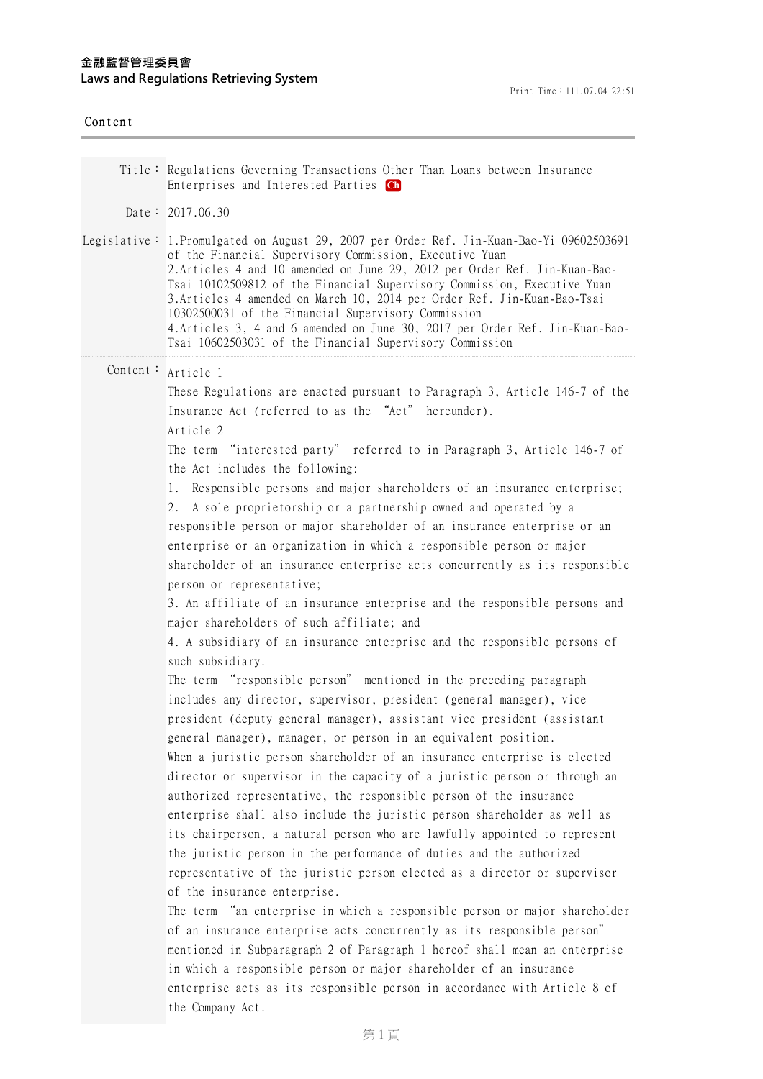| Content  |                                                                                                                                                                                                                                                                                                                                                                                                                                                                                                                                                                                                                                                                                                                                                                                                                                                                                                                                                                                                                                                                                                                                                                                                                                                                                                                                                                                                                                                                                                                                                                                                                                                                                                                                                                                                                                                                                                                                                                                                                                                                                                                                                                                                                       |
|----------|-----------------------------------------------------------------------------------------------------------------------------------------------------------------------------------------------------------------------------------------------------------------------------------------------------------------------------------------------------------------------------------------------------------------------------------------------------------------------------------------------------------------------------------------------------------------------------------------------------------------------------------------------------------------------------------------------------------------------------------------------------------------------------------------------------------------------------------------------------------------------------------------------------------------------------------------------------------------------------------------------------------------------------------------------------------------------------------------------------------------------------------------------------------------------------------------------------------------------------------------------------------------------------------------------------------------------------------------------------------------------------------------------------------------------------------------------------------------------------------------------------------------------------------------------------------------------------------------------------------------------------------------------------------------------------------------------------------------------------------------------------------------------------------------------------------------------------------------------------------------------------------------------------------------------------------------------------------------------------------------------------------------------------------------------------------------------------------------------------------------------------------------------------------------------------------------------------------------------|
|          | Title: Regulations Governing Transactions Other Than Loans between Insurance<br>Enterprises and Interested Parties Ch                                                                                                                                                                                                                                                                                                                                                                                                                                                                                                                                                                                                                                                                                                                                                                                                                                                                                                                                                                                                                                                                                                                                                                                                                                                                                                                                                                                                                                                                                                                                                                                                                                                                                                                                                                                                                                                                                                                                                                                                                                                                                                 |
|          | Date: $2017.06.30$                                                                                                                                                                                                                                                                                                                                                                                                                                                                                                                                                                                                                                                                                                                                                                                                                                                                                                                                                                                                                                                                                                                                                                                                                                                                                                                                                                                                                                                                                                                                                                                                                                                                                                                                                                                                                                                                                                                                                                                                                                                                                                                                                                                                    |
|          | Legislative: 1.Promulgated on August 29, 2007 per Order Ref. Jin-Kuan-Bao-Yi 09602503691<br>of the Financial Supervisory Commission, Executive Yuan<br>2. Articles 4 and 10 amended on June 29, 2012 per Order Ref. Jin-Kuan-Bao-<br>Tsai 10102509812 of the Financial Supervisory Commission, Executive Yuan<br>3. Articles 4 amended on March 10, 2014 per Order Ref. Jin-Kuan-Bao-Tsai<br>10302500031 of the Financial Supervisory Commission<br>4. Articles 3, 4 and 6 amended on June 30, 2017 per Order Ref. Jin-Kuan-Bao-<br>Tsai 10602503031 of the Financial Supervisory Commission                                                                                                                                                                                                                                                                                                                                                                                                                                                                                                                                                                                                                                                                                                                                                                                                                                                                                                                                                                                                                                                                                                                                                                                                                                                                                                                                                                                                                                                                                                                                                                                                                          |
| Content: | Article 1<br>These Regulations are enacted pursuant to Paragraph 3, Article 146-7 of the<br>Insurance Act (referred to as the "Act" hereunder).<br>Article 2<br>The term "interested party" referred to in Paragraph 3, Article 146-7 of<br>the Act includes the following:<br>Responsible persons and major shareholders of an insurance enterprise;<br>1.<br>A sole proprietorship or a partnership owned and operated by a<br>2.<br>responsible person or major shareholder of an insurance enterprise or an<br>enterprise or an organization in which a responsible person or major<br>shareholder of an insurance enterprise acts concurrently as its responsible<br>person or representative;<br>3. An affiliate of an insurance enterprise and the responsible persons and<br>major shareholders of such affiliate; and<br>4. A subsidiary of an insurance enterprise and the responsible persons of<br>such subsidiary.<br>The term "responsible person" mentioned in the preceding paragraph<br>includes any director, supervisor, president (general manager), vice<br>president (deputy general manager), assistant vice president (assistant<br>general manager), manager, or person in an equivalent position.<br>When a juristic person shareholder of an insurance enterprise is elected<br>director or supervisor in the capacity of a juristic person or through an<br>authorized representative, the responsible person of the insurance<br>enterprise shall also include the juristic person shareholder as well as<br>its chairperson, a natural person who are lawfully appointed to represent<br>the juristic person in the performance of duties and the authorized<br>representative of the juristic person elected as a director or supervisor<br>of the insurance enterprise.<br>The term "an enterprise in which a responsible person or major shareholder<br>of an insurance enterprise acts concurrently as its responsible person"<br>mentioned in Subparagraph 2 of Paragraph 1 hereof shall mean an enterprise<br>in which a responsible person or major shareholder of an insurance<br>enterprise acts as its responsible person in accordance with Article 8 of<br>the Company Act. |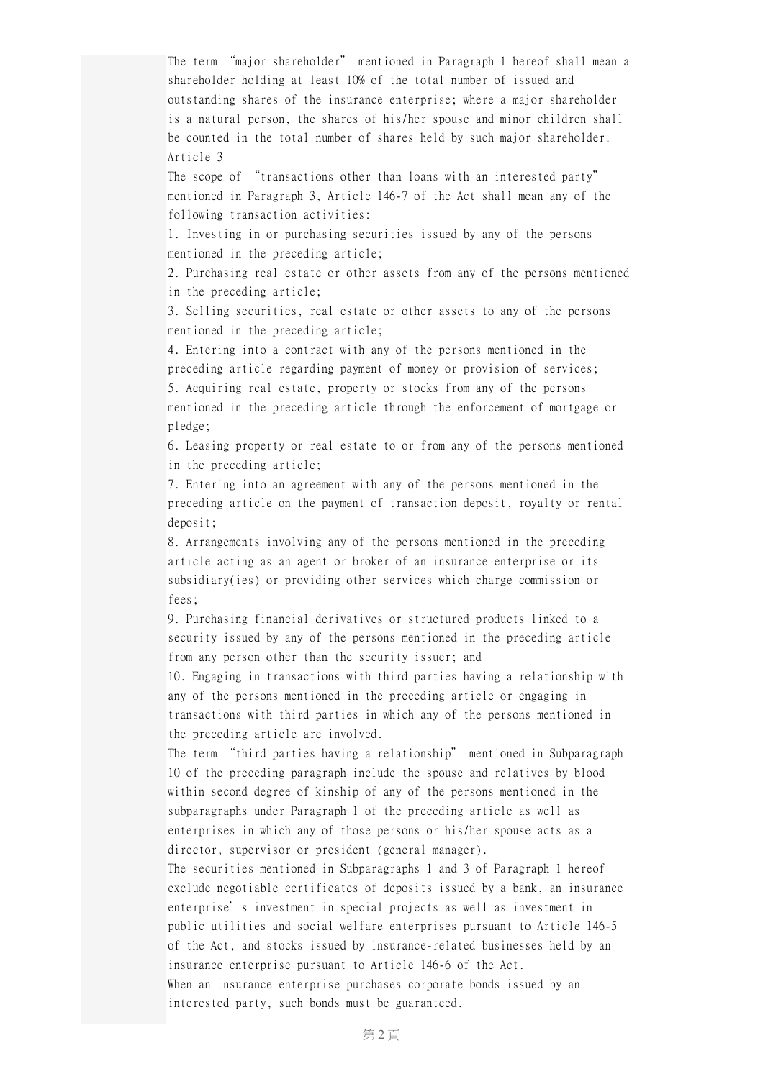The term "major shareholder" mentioned in Paragraph 1 hereof shall mean a shareholder holding at least 10% of the total number of issued and outstanding shares of the insurance enterprise; where a major shareholder is a natural person, the shares of his/her spouse and minor children shall be counted in the total number of shares held by such major shareholder. Article 3

The scope of "transactions other than loans with an interested party" mentioned in Paragraph 3, Article 146-7 of the Act shall mean any of the following transaction activities:

1. Investing in or purchasing securities issued by any of the persons mentioned in the preceding article;

2. Purchasing real estate or other assets from any of the persons mentioned in the preceding article;

3. Selling securities, real estate or other assets to any of the persons mentioned in the preceding article;

4. Entering into a contract with any of the persons mentioned in the preceding article regarding payment of money or provision of services;

5. Acquiring real estate, property or stocks from any of the persons mentioned in the preceding article through the enforcement of mortgage or pledge;

6. Leasing property or real estate to or from any of the persons mentioned in the preceding article;

7. Entering into an agreement with any of the persons mentioned in the preceding article on the payment of transaction deposit, royalty or rental deposit;

8. Arrangements involving any of the persons mentioned in the preceding article acting as an agent or broker of an insurance enterprise or its subsidiary(ies) or providing other services which charge commission or fees;

9. Purchasing financial derivatives or structured products linked to a security issued by any of the persons mentioned in the preceding article from any person other than the security issuer; and

10. Engaging in transactions with third parties having a relationship with any of the persons mentioned in the preceding article or engaging in transactions with third parties in which any of the persons mentioned in the preceding article are involved.

The term "third parties having a relationship" mentioned in Subparagraph 10 of the preceding paragraph include the spouse and relatives by blood within second degree of kinship of any of the persons mentioned in the subparagraphs under Paragraph 1 of the preceding article as well as enterprises in which any of those persons or his/her spouse acts as a director, supervisor or president (general manager).

The securities mentioned in Subparagraphs 1 and 3 of Paragraph 1 hereof exclude negotiable certificates of deposits issued by a bank, an insurance enterprise's investment in special projects as well as investment in public utilities and social welfare enterprises pursuant to Article 146-5 of the Act, and stocks issued by insurance-related businesses held by an insurance enterprise pursuant to Article 146-6 of the Act. When an insurance enterprise purchases corporate bonds issued by an interested party, such bonds must be guaranteed.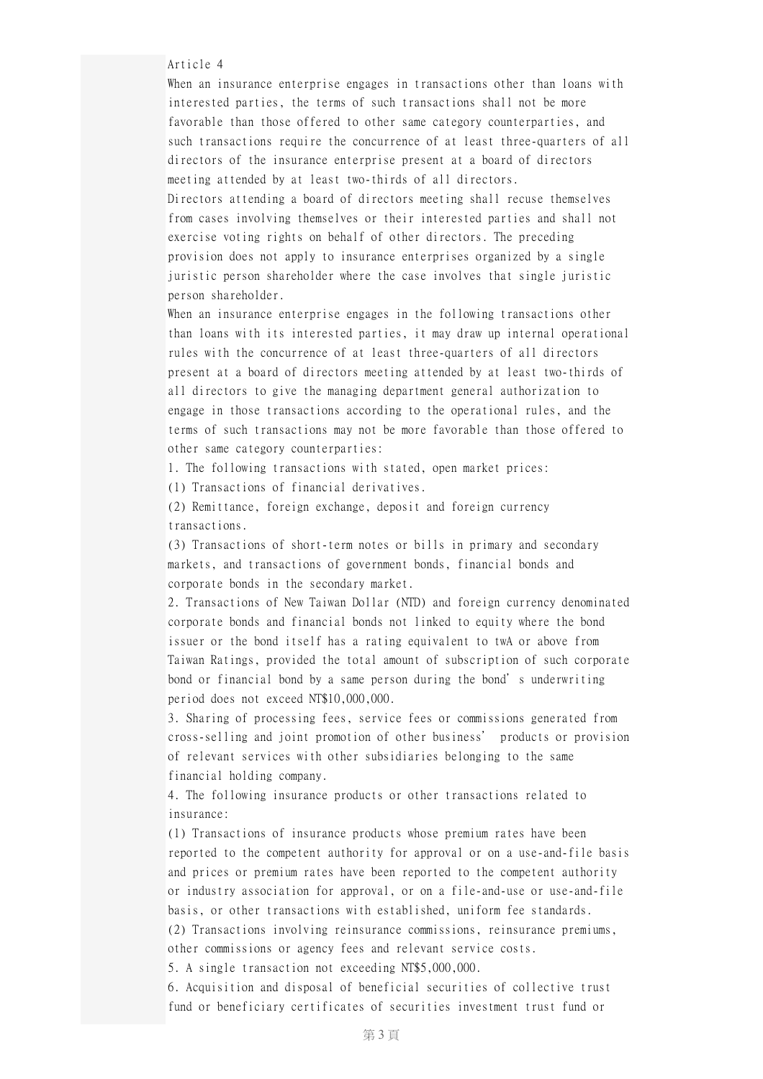Article 4

When an insurance enterprise engages in transactions other than loans with interested parties, the terms of such transactions shall not be more favorable than those offered to other same category counterparties, and such transactions require the concurrence of at least three-quarters of all directors of the insurance enterprise present at a board of directors meeting attended by at least two-thirds of all directors.

Directors attending a board of directors meeting shall recuse themselves from cases involving themselves or their interested parties and shall not exercise voting rights on behalf of other directors. The preceding provision does not apply to insurance enterprises organized by a single juristic person shareholder where the case involves that single juristic person shareholder.

When an insurance enterprise engages in the following transactions other than loans with its interested parties, it may draw up internal operational rules with the concurrence of at least three-quarters of all directors present at a board of directors meeting attended by at least two-thirds of all directors to give the managing department general authorization to engage in those transactions according to the operational rules, and the terms of such transactions may not be more favorable than those offered to other same category counterparties:

1. The following transactions with stated, open market prices:

(1) Transactions of financial derivatives.

(2) Remittance, foreign exchange, deposit and foreign currency transactions.

(3) Transactions of short-term notes or bills in primary and secondary markets, and transactions of government bonds, financial bonds and corporate bonds in the secondary market.

2. Transactions of New Taiwan Dollar (NTD) and foreign currency denominated corporate bonds and financial bonds not linked to equity where the bond issuer or the bond itself has a rating equivalent to twA or above from Taiwan Ratings, provided the total amount of subscription of such corporate bond or financial bond by a same person during the bond's underwriting period does not exceed NT\$10,000,000.

3. Sharing of processing fees, service fees or commissions generated from cross-selling and joint promotion of other business' products or provision of relevant services with other subsidiaries belonging to the same financial holding company.

4. The following insurance products or other transactions related to insurance:

(1) Transactions of insurance products whose premium rates have been reported to the competent authority for approval or on a use-and-file basis and prices or premium rates have been reported to the competent authority or industry association for approval, or on a file-and-use or use-and-file basis, or other transactions with established, uniform fee standards. (2) Transactions involving reinsurance commissions, reinsurance premiums, other commissions or agency fees and relevant service costs.

5. A single transaction not exceeding NT\$5,000,000.

6. Acquisition and disposal of beneficial securities of collective trust fund or beneficiary certificates of securities investment trust fund or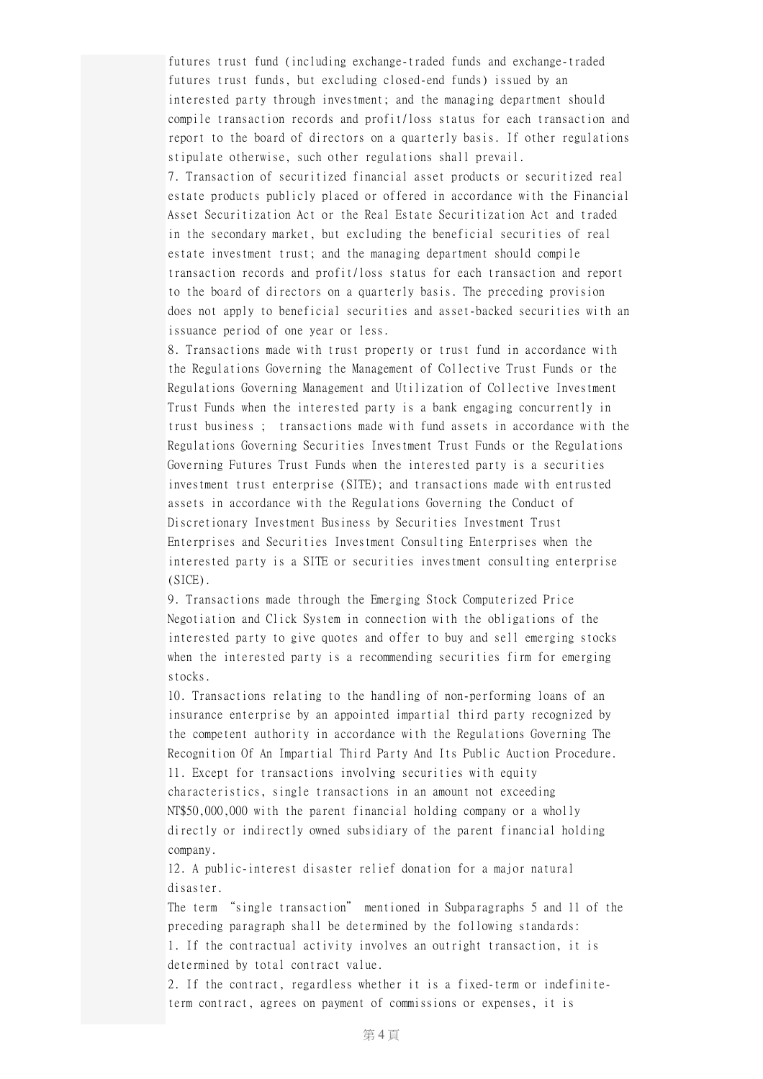futures trust fund (including exchange-traded funds and exchange-traded futures trust funds, but excluding closed-end funds) issued by an interested party through investment; and the managing department should compile transaction records and profit/loss status for each transaction and report to the board of directors on a quarterly basis. If other regulations stipulate otherwise, such other regulations shall prevail.

7. Transaction of securitized financial asset products or securitized real estate products publicly placed or offered in accordance with the Financial Asset Securitization Act or the Real Estate Securitization Act and traded in the secondary market, but excluding the beneficial securities of real estate investment trust; and the managing department should compile transaction records and profit/loss status for each transaction and report to the board of directors on a quarterly basis. The preceding provision does not apply to beneficial securities and asset-backed securities with an issuance period of one year or less.

8. Transactions made with trust property or trust fund in accordance with the Regulations Governing the Management of Collective Trust Funds or the Regulations Governing Management and Utilization of Collective Investment Trust Funds when the interested party is a bank engaging concurrently in trust business ; transactions made with fund assets in accordance with the Regulations Governing Securities Investment Trust Funds or the Regulations Governing Futures Trust Funds when the interested party is a securities investment trust enterprise (SITE); and transactions made with entrusted assets in accordance with the Regulations Governing the Conduct of Discretionary Investment Business by Securities Investment Trust Enterprises and Securities Investment Consulting Enterprises when the interested party is a SITE or securities investment consulting enterprise (SICE).

9. Transactions made through the Emerging Stock Computerized Price Negotiation and Click System in connection with the obligations of the interested party to give quotes and offer to buy and sell emerging stocks when the interested party is a recommending securities firm for emerging stocks.

10. Transactions relating to the handling of non-performing loans of an insurance enterprise by an appointed impartial third party recognized by the competent authority in accordance with the Regulations Governing The Recognition Of An Impartial Third Party And Its Public Auction Procedure. 11. Except for transactions involving securities with equity characteristics, single transactions in an amount not exceeding NT\$50,000,000 with the parent financial holding company or a wholly directly or indirectly owned subsidiary of the parent financial holding company.

12. A public-interest disaster relief donation for a major natural disaster.

The term "single transaction" mentioned in Subparagraphs 5 and 11 of the preceding paragraph shall be determined by the following standards: 1. If the contractual activity involves an outright transaction, it is determined by total contract value.

2. If the contract, regardless whether it is a fixed-term or indefiniteterm contract, agrees on payment of commissions or expenses, it is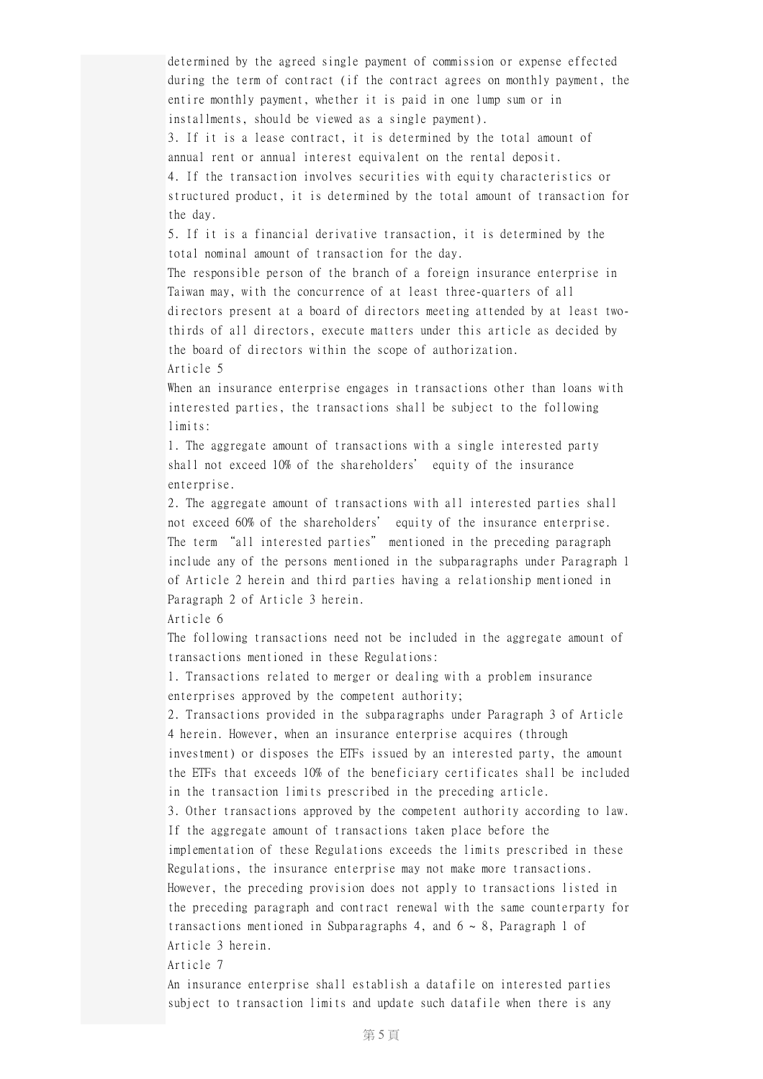determined by the agreed single payment of commission or expense effected during the term of contract (if the contract agrees on monthly payment, the entire monthly payment, whether it is paid in one lump sum or in installments, should be viewed as a single payment).

3. If it is a lease contract, it is determined by the total amount of annual rent or annual interest equivalent on the rental deposit. 4. If the transaction involves securities with equity characteristics or

structured product, it is determined by the total amount of transaction for the day.

5. If it is a financial derivative transaction, it is determined by the total nominal amount of transaction for the day.

The responsible person of the branch of a foreign insurance enterprise in Taiwan may, with the concurrence of at least three-quarters of all directors present at a board of directors meeting attended by at least twothirds of all directors, execute matters under this article as decided by the board of directors within the scope of authorization.

Article 5

When an insurance enterprise engages in transactions other than loans with interested parties, the transactions shall be subject to the following limits:

1. The aggregate amount of transactions with a single interested party shall not exceed 10% of the shareholders' equity of the insurance enterprise.

2. The aggregate amount of transactions with all interested parties shall not exceed 60% of the shareholders' equity of the insurance enterprise. The term "all interested parties" mentioned in the preceding paragraph include any of the persons mentioned in the subparagraphs under Paragraph 1 of Article 2 herein and third parties having a relationship mentioned in Paragraph 2 of Article 3 herein.

Article 6

The following transactions need not be included in the aggregate amount of transactions mentioned in these Regulations:

1. Transactions related to merger or dealing with a problem insurance enterprises approved by the competent authority;

2. Transactions provided in the subparagraphs under Paragraph 3 of Article 4 herein. However, when an insurance enterprise acquires (through

investment) or disposes the ETFs issued by an interested party, the amount the ETFs that exceeds 10% of the beneficiary certificates shall be included in the transaction limits prescribed in the preceding article.

3. Other transactions approved by the competent authority according to law. If the aggregate amount of transactions taken place before the

implementation of these Regulations exceeds the limits prescribed in these Regulations, the insurance enterprise may not make more transactions.

However, the preceding provision does not apply to transactions listed in the preceding paragraph and contract renewal with the same counterparty for transactions mentioned in Subparagraphs 4, and  $6 \sim 8$ , Paragraph 1 of Article 3 herein.

Article 7

An insurance enterprise shall establish a datafile on interested parties subject to transaction limits and update such datafile when there is any